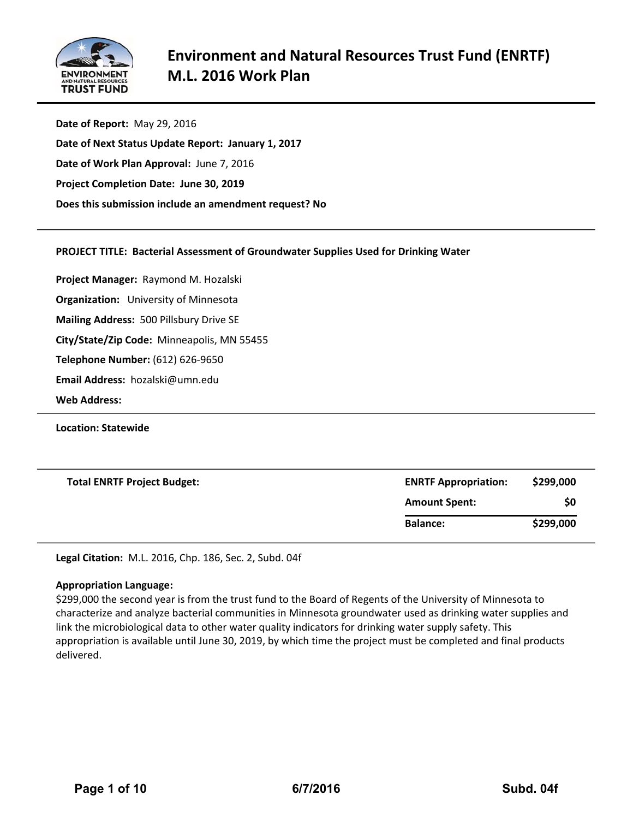

**Date of Report:** May 29, 2016 **Date of Next Status Update Report: January 1, 2017 Date of Work Plan Approval:** June 7, 2016 **Project Completion Date: June 30, 2019 Does this submission include an amendment request? No**

# **PROJECT TITLE: Bacterial Assessment of Groundwater Supplies Used for Drinking Water**

**Project Manager:** Raymond M. Hozalski

**Organization:** University of Minnesota

**Mailing Address:** 500 Pillsbury Drive SE

**City/State/Zip Code:** Minneapolis, MN 55455

**Telephone Number:** (612) 626‐9650

**Email Address:** hozalski@umn.edu

**Web Address:**

**Location: Statewide**

| <b>Total ENRTF Project Budget:</b> | <b>ENRTF Appropriation:</b> | \$299,000 |  |
|------------------------------------|-----------------------------|-----------|--|
|                                    | <b>Amount Spent:</b>        | \$0       |  |
|                                    | <b>Balance:</b>             | \$299,000 |  |

**Legal Citation:** M.L. 2016, Chp. 186, Sec. 2, Subd. 04f

#### **Appropriation Language:**

\$299,000 the second year is from the trust fund to the Board of Regents of the University of Minnesota to characterize and analyze bacterial communities in Minnesota groundwater used as drinking water supplies and link the microbiological data to other water quality indicators for drinking water supply safety. This appropriation is available until June 30, 2019, by which time the project must be completed and final products delivered.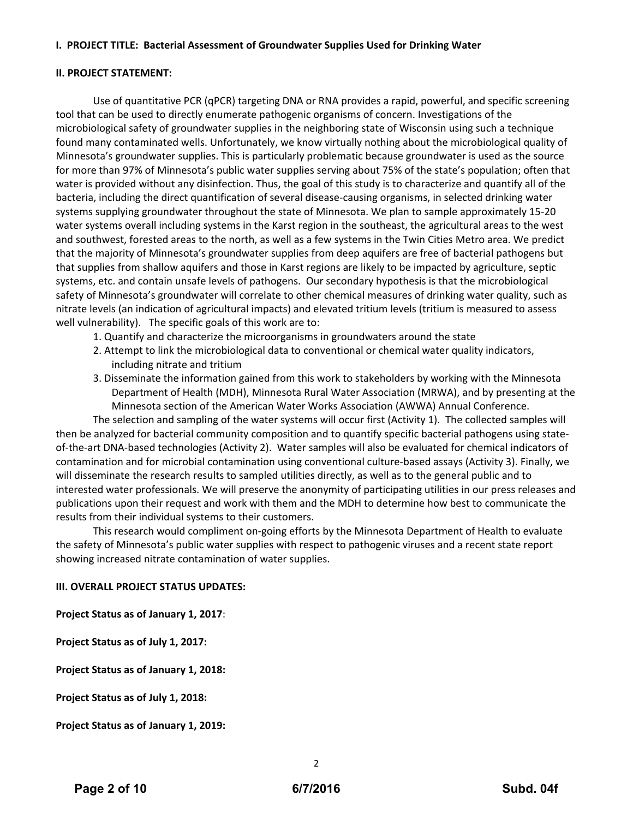# **I. PROJECT TITLE: Bacterial Assessment of Groundwater Supplies Used for Drinking Water**

## **II. PROJECT STATEMENT:**

Use of quantitative PCR (qPCR) targeting DNA or RNA provides a rapid, powerful, and specific screening tool that can be used to directly enumerate pathogenic organisms of concern. Investigations of the microbiological safety of groundwater supplies in the neighboring state of Wisconsin using such a technique found many contaminated wells. Unfortunately, we know virtually nothing about the microbiological quality of Minnesota's groundwater supplies. This is particularly problematic because groundwater is used as the source for more than 97% of Minnesota's public water supplies serving about 75% of the state's population; often that water is provided without any disinfection. Thus, the goal of this study is to characterize and quantify all of the bacteria, including the direct quantification of several disease‐causing organisms, in selected drinking water systems supplying groundwater throughout the state of Minnesota. We plan to sample approximately 15‐20 water systems overall including systems in the Karst region in the southeast, the agricultural areas to the west and southwest, forested areas to the north, as well as a few systems in the Twin Cities Metro area. We predict that the majority of Minnesota's groundwater supplies from deep aquifers are free of bacterial pathogens but that supplies from shallow aquifers and those in Karst regions are likely to be impacted by agriculture, septic systems, etc. and contain unsafe levels of pathogens. Our secondary hypothesis is that the microbiological safety of Minnesota's groundwater will correlate to other chemical measures of drinking water quality, such as nitrate levels (an indication of agricultural impacts) and elevated tritium levels (tritium is measured to assess well vulnerability). The specific goals of this work are to:

- 1. Quantify and characterize the microorganisms in groundwaters around the state
- 2. Attempt to link the microbiological data to conventional or chemical water quality indicators, including nitrate and tritium
- 3. Disseminate the information gained from this work to stakeholders by working with the Minnesota Department of Health (MDH), Minnesota Rural Water Association (MRWA), and by presenting at the Minnesota section of the American Water Works Association (AWWA) Annual Conference.

The selection and sampling of the water systems will occur first (Activity 1). The collected samples will then be analyzed for bacterial community composition and to quantify specific bacterial pathogens using state‐ of-the-art DNA-based technologies (Activity 2). Water samples will also be evaluated for chemical indicators of contamination and for microbial contamination using conventional culture‐based assays (Activity 3). Finally, we will disseminate the research results to sampled utilities directly, as well as to the general public and to interested water professionals. We will preserve the anonymity of participating utilities in our press releases and publications upon their request and work with them and the MDH to determine how best to communicate the results from their individual systems to their customers.

This research would compliment on‐going efforts by the Minnesota Department of Health to evaluate the safety of Minnesota's public water supplies with respect to pathogenic viruses and a recent state report showing increased nitrate contamination of water supplies.

# **III. OVERALL PROJECT STATUS UPDATES:**

**Project Status as of January 1, 2017**:

**Project Status as of July 1, 2017:**

**Project Status as of January 1, 2018:**

**Project Status as of July 1, 2018:**

**Project Status as of January 1, 2019:**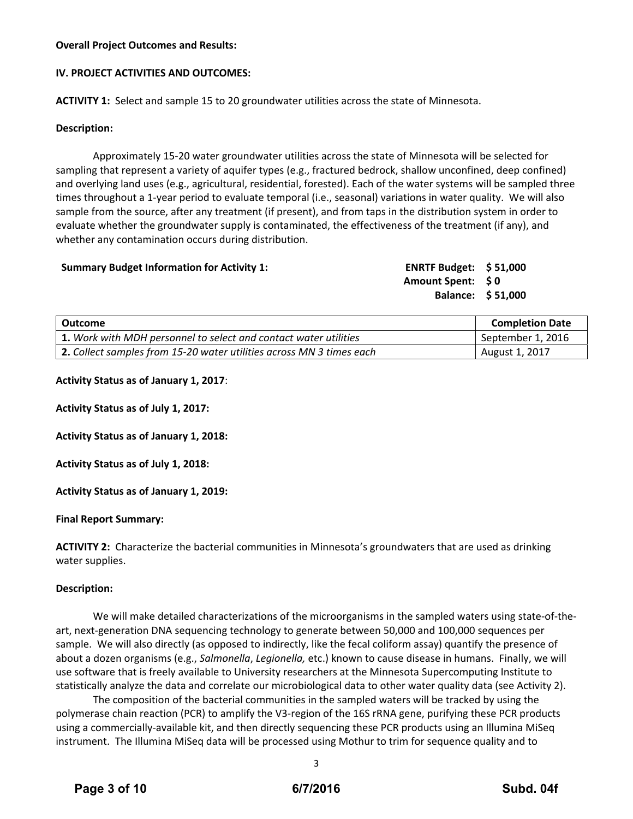## **Overall Project Outcomes and Results:**

## **IV. PROJECT ACTIVITIES AND OUTCOMES:**

**ACTIVITY 1:** Select and sample 15 to 20 groundwater utilities across the state of Minnesota.

## **Description:**

Approximately 15‐20 water groundwater utilities across the state of Minnesota will be selected for sampling that represent a variety of aquifer types (e.g., fractured bedrock, shallow unconfined, deep confined) and overlying land uses (e.g., agricultural, residential, forested). Each of the water systems will be sampled three times throughout a 1‐year period to evaluate temporal (i.e., seasonal) variations in water quality. We will also sample from the source, after any treatment (if present), and from taps in the distribution system in order to evaluate whether the groundwater supply is contaminated, the effectiveness of the treatment (if any), and whether any contamination occurs during distribution.

#### **Summary Budget Information for Activity 1: ENRTF Budget: \$ 51,000**

**Amount Spent: \$ 0 Balance: \$ 51,000**

| Outcome                                                              | <b>Completion Date</b> |  |  |
|----------------------------------------------------------------------|------------------------|--|--|
| 1. Work with MDH personnel to select and contact water utilities     | September 1, 2016      |  |  |
| 2. Collect samples from 15-20 water utilities across MN 3 times each | August 1, 2017         |  |  |

#### **Activity Status as of January 1, 2017**:

**Activity Status as of July 1, 2017:**

**Activity Status as of January 1, 2018:**

**Activity Status as of July 1, 2018:**

**Activity Status as of January 1, 2019:**

#### **Final Report Summary:**

**ACTIVITY 2:** Characterize the bacterial communities in Minnesota's groundwaters that are used as drinking water supplies.

#### **Description:**

We will make detailed characterizations of the microorganisms in the sampled waters using state‐of‐the‐ art, next‐generation DNA sequencing technology to generate between 50,000 and 100,000 sequences per sample. We will also directly (as opposed to indirectly, like the fecal coliform assay) quantify the presence of about a dozen organisms (e.g., *Salmonella*, *Legionella,* etc.) known to cause disease in humans. Finally, we will use software that is freely available to University researchers at the Minnesota Supercomputing Institute to statistically analyze the data and correlate our microbiological data to other water quality data (see Activity 2).

The composition of the bacterial communities in the sampled waters will be tracked by using the polymerase chain reaction (PCR) to amplify the V3‐region of the 16S rRNA gene, purifying these PCR products using a commercially‐available kit, and then directly sequencing these PCR products using an Illumina MiSeq instrument. The Illumina MiSeq data will be processed using Mothur to trim for sequence quality and to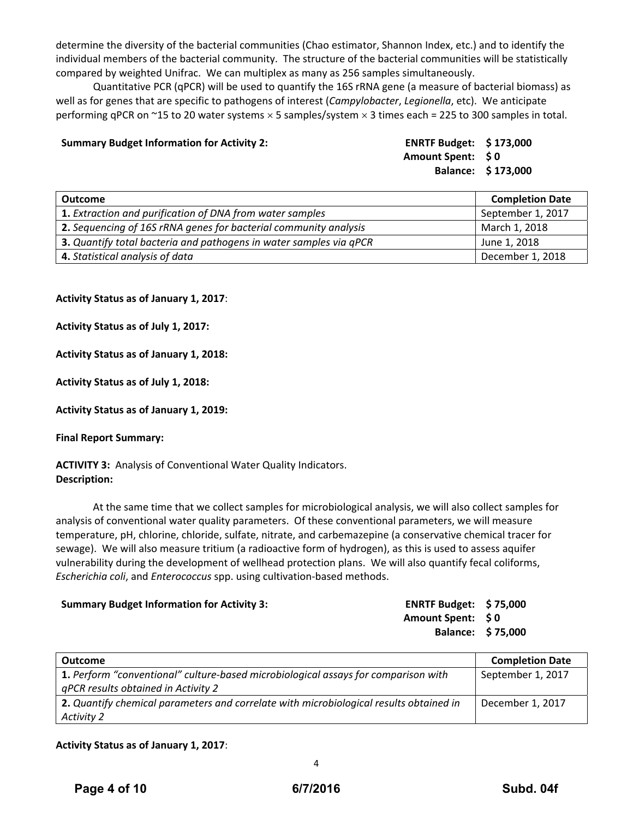determine the diversity of the bacterial communities (Chao estimator, Shannon Index, etc.) and to identify the individual members of the bacterial community. The structure of the bacterial communities will be statistically compared by weighted Unifrac. We can multiplex as many as 256 samples simultaneously.

Quantitative PCR (qPCR) will be used to quantify the 16S rRNA gene (a measure of bacterial biomass) as well as for genes that are specific to pathogens of interest (*Campylobacter*, *Legionella*, etc). We anticipate performing qPCR on  $\sim$ 15 to 20 water systems  $\times$  5 samples/system  $\times$  3 times each = 225 to 300 samples in total.

## **Summary Budget Information for Activity 2: ENRTF Budget: \$ 173,000**

**Amount Spent: \$ 0 Balance: \$ 173,000**

| Outcome                                                            | <b>Completion Date</b> |
|--------------------------------------------------------------------|------------------------|
| 1. Extraction and purification of DNA from water samples           | September 1, 2017      |
| 2. Sequencing of 16S rRNA genes for bacterial community analysis   | March 1, 2018          |
| 3. Quantify total bacteria and pathogens in water samples via qPCR | June 1, 2018           |
| 4. Statistical analysis of data                                    | December 1, 2018       |

## **Activity Status as of January 1, 2017**:

**Activity Status as of July 1, 2017:**

## **Activity Status as of January 1, 2018:**

**Activity Status as of July 1, 2018:**

**Activity Status as of January 1, 2019:**

#### **Final Report Summary:**

**ACTIVITY 3:** Analysis of Conventional Water Quality Indicators. **Description:**

At the same time that we collect samples for microbiological analysis, we will also collect samples for analysis of conventional water quality parameters. Of these conventional parameters, we will measure temperature, pH, chlorine, chloride, sulfate, nitrate, and carbemazepine (a conservative chemical tracer for sewage). We will also measure tritium (a radioactive form of hydrogen), as this is used to assess aquifer vulnerability during the development of wellhead protection plans. We will also quantify fecal coliforms, *Escherichia coli*, and *Enterococcus* spp. using cultivation‐based methods.

# **Summary Budget Information for Activity 3: ENRTF Budget: \$ 75,000 Amount Spent: \$ 0 Balance: \$ 75,000**

| <b>Outcome</b>                                                                            | <b>Completion Date</b> |
|-------------------------------------------------------------------------------------------|------------------------|
| <b>1.</b> Perform "conventional" culture-based microbiological assays for comparison with | September 1, 2017      |
| qPCR results obtained in Activity 2                                                       |                        |
| 2. Quantify chemical parameters and correlate with microbiological results obtained in    | December 1, 2017       |
| Activity 2                                                                                |                        |

# **Activity Status as of January 1, 2017**: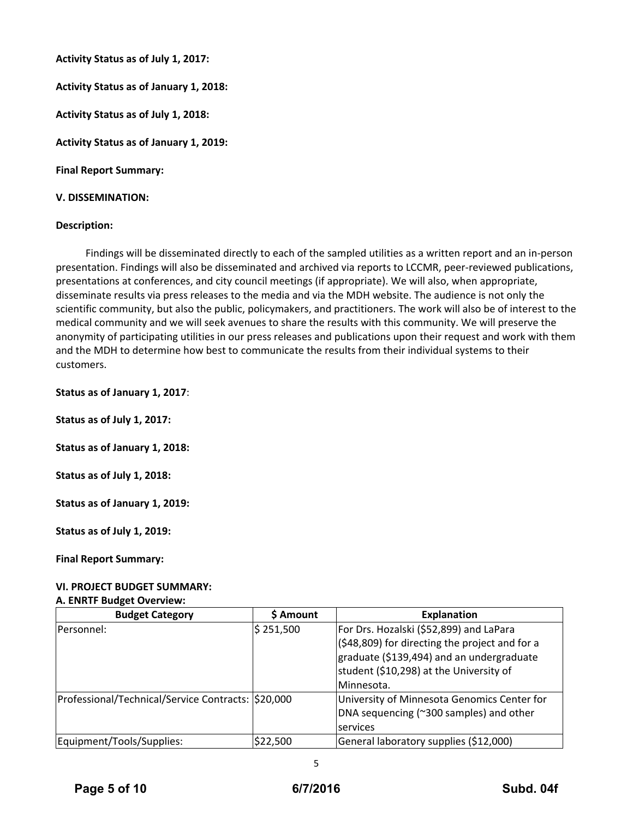**Activity Status as of July 1, 2017:**

**Activity Status as of January 1, 2018:**

**Activity Status as of July 1, 2018:**

**Activity Status as of January 1, 2019:**

**Final Report Summary:**

#### **V. DISSEMINATION:**

#### **Description:**

Findings will be disseminated directly to each of the sampled utilities as a written report and an in‐person presentation. Findings will also be disseminated and archived via reports to LCCMR, peer‐reviewed publications, presentations at conferences, and city council meetings (if appropriate). We will also, when appropriate, disseminate results via press releases to the media and via the MDH website. The audience is not only the scientific community, but also the public, policymakers, and practitioners. The work will also be of interest to the medical community and we will seek avenues to share the results with this community. We will preserve the anonymity of participating utilities in our press releases and publications upon their request and work with them and the MDH to determine how best to communicate the results from their individual systems to their customers.

**Status as of January 1, 2017**:

**Status as of July 1, 2017:**

**Status as of January 1, 2018:**

**Status as of July 1, 2018:**

**Status as of January 1, 2019:**

**Status as of July 1, 2019:**

**Final Report Summary:**

# **VI. PROJECT BUDGET SUMMARY:**

#### **A. ENRTF Budget Overview:**

| <b>Budget Category</b>                             | \$ Amount | <b>Explanation</b>                                |
|----------------------------------------------------|-----------|---------------------------------------------------|
| Personnel:                                         | \$251,500 | For Drs. Hozalski (\$52,899) and LaPara           |
|                                                    |           | $($ \$48,809) for directing the project and for a |
|                                                    |           | graduate (\$139,494) and an undergraduate         |
|                                                    |           | student (\$10,298) at the University of           |
|                                                    |           | l Minnesota.                                      |
| Professional/Technical/Service Contracts: \$20,000 |           | University of Minnesota Genomics Center for       |
|                                                    |           | DNA sequencing (~300 samples) and other           |
|                                                    |           | services                                          |
| Equipment/Tools/Supplies:                          | \$22,500  | General laboratory supplies (\$12,000)            |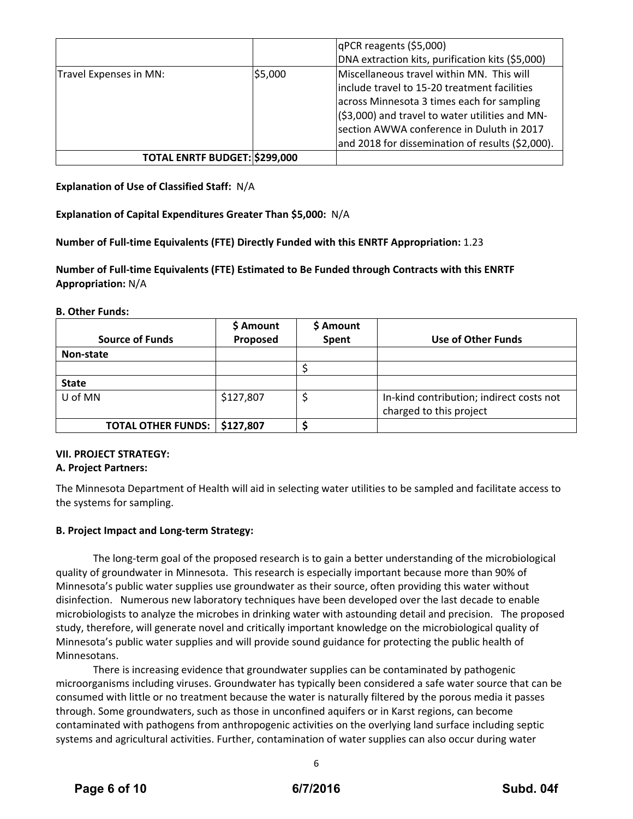|                               |         | qPCR reagents (\$5,000)                          |
|-------------------------------|---------|--------------------------------------------------|
|                               |         | DNA extraction kits, purification kits (\$5,000) |
| Travel Expenses in MN:        | \$5,000 | Miscellaneous travel within MN. This will        |
|                               |         | include travel to 15-20 treatment facilities     |
|                               |         | across Minnesota 3 times each for sampling       |
|                               |         | (\$3,000) and travel to water utilities and MN-  |
|                               |         | section AWWA conference in Duluth in 2017        |
|                               |         | and 2018 for dissemination of results (\$2,000). |
| TOTAL ENRTF BUDGET: \$299,000 |         |                                                  |

**Explanation of Use of Classified Staff:** N/A

**Explanation of Capital Expenditures Greater Than \$5,000:** N/A

**Number of Full‐time Equivalents (FTE) Directly Funded with this ENRTF Appropriation:** 1.23

**Number of Full‐time Equivalents (FTE) Estimated to Be Funded through Contracts with this ENRTF Appropriation:** N/A

**B. Other Funds:**

|                           | \$ Amount | \$ Amount |                                          |
|---------------------------|-----------|-----------|------------------------------------------|
| <b>Source of Funds</b>    | Proposed  | Spent     | Use of Other Funds                       |
| Non-state                 |           |           |                                          |
|                           |           |           |                                          |
| <b>State</b>              |           |           |                                          |
| U of MN                   | \$127,807 |           | In-kind contribution; indirect costs not |
|                           |           |           | charged to this project                  |
| <b>TOTAL OTHER FUNDS:</b> | \$127,807 |           |                                          |

# **VII. PROJECT STRATEGY:**

# **A. Project Partners:**

The Minnesota Department of Health will aid in selecting water utilities to be sampled and facilitate access to the systems for sampling.

# **B. Project Impact and Long‐term Strategy:**

The long‐term goal of the proposed research is to gain a better understanding of the microbiological quality of groundwater in Minnesota. This research is especially important because more than 90% of Minnesota's public water supplies use groundwater as their source, often providing this water without disinfection. Numerous new laboratory techniques have been developed over the last decade to enable microbiologists to analyze the microbes in drinking water with astounding detail and precision. The proposed study, therefore, will generate novel and critically important knowledge on the microbiological quality of Minnesota's public water supplies and will provide sound guidance for protecting the public health of Minnesotans.

There is increasing evidence that groundwater supplies can be contaminated by pathogenic microorganisms including viruses. Groundwater has typically been considered a safe water source that can be consumed with little or no treatment because the water is naturally filtered by the porous media it passes through. Some groundwaters, such as those in unconfined aquifers or in Karst regions, can become contaminated with pathogens from anthropogenic activities on the overlying land surface including septic systems and agricultural activities. Further, contamination of water supplies can also occur during water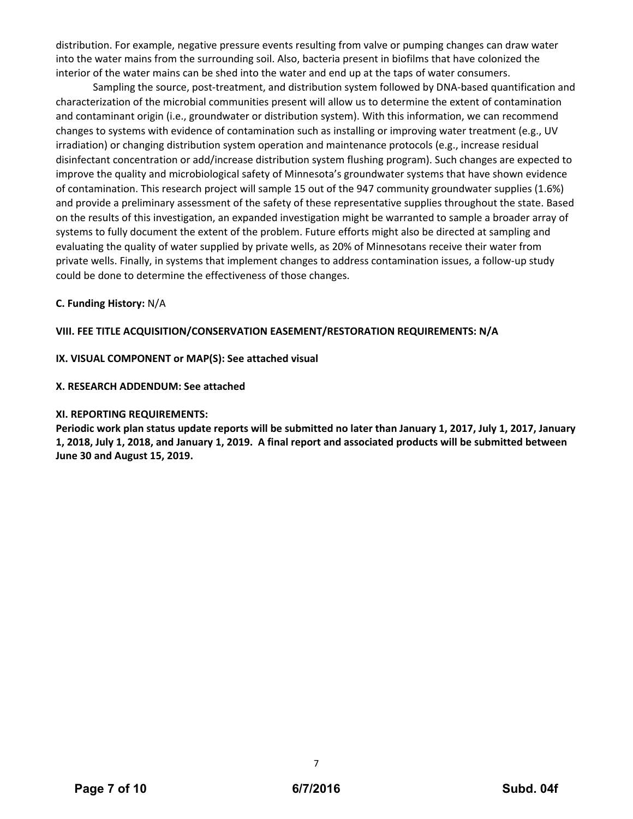distribution. For example, negative pressure events resulting from valve or pumping changes can draw water into the water mains from the surrounding soil. Also, bacteria present in biofilms that have colonized the interior of the water mains can be shed into the water and end up at the taps of water consumers.

Sampling the source, post-treatment, and distribution system followed by DNA-based quantification and characterization of the microbial communities present will allow us to determine the extent of contamination and contaminant origin (i.e., groundwater or distribution system). With this information, we can recommend changes to systems with evidence of contamination such as installing or improving water treatment (e.g., UV irradiation) or changing distribution system operation and maintenance protocols (e.g., increase residual disinfectant concentration or add/increase distribution system flushing program). Such changes are expected to improve the quality and microbiological safety of Minnesota's groundwater systems that have shown evidence of contamination. This research project will sample 15 out of the 947 community groundwater supplies (1.6%) and provide a preliminary assessment of the safety of these representative supplies throughout the state. Based on the results of this investigation, an expanded investigation might be warranted to sample a broader array of systems to fully document the extent of the problem. Future efforts might also be directed at sampling and evaluating the quality of water supplied by private wells, as 20% of Minnesotans receive their water from private wells. Finally, in systems that implement changes to address contamination issues, a follow‐up study could be done to determine the effectiveness of those changes.

# **C. Funding History:** N/A

# **VIII. FEE TITLE ACQUISITION/CONSERVATION EASEMENT/RESTORATION REQUIREMENTS: N/A**

## **IX. VISUAL COMPONENT or MAP(S): See attached visual**

## **X. RESEARCH ADDENDUM: See attached**

## **XI. REPORTING REQUIREMENTS:**

Periodic work plan status update reports will be submitted no later than January 1, 2017, July 1, 2017, January 1, 2018, July 1, 2018, and January 1, 2019. A final report and associated products will be submitted between **June 30 and August 15, 2019.**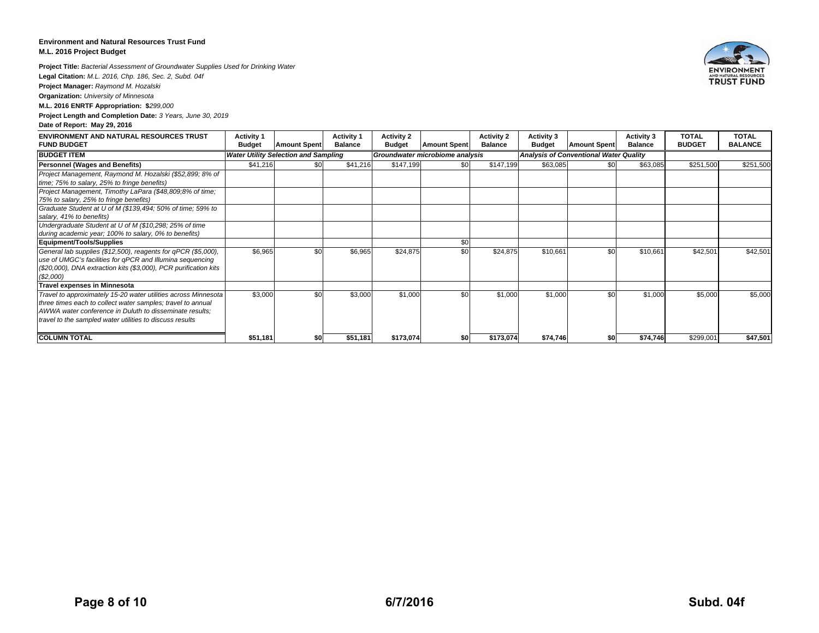#### **Environment and Natural Resources Trust Fund M.L. 2016 Project Budget**

**Project Title:** *Bacterial Assessment of Groundwater Supplies Used for Drinking Water*

**Legal Citation:** *M.L. 2016, Chp. 186, Sec. 2, Subd. 04f*

**Project Manager:** *Raymond M. Hozalski*

**Organization:** *University of Minnesota*

**M.L. 2016 ENRTF Appropriation: \$***299,000*

**Project Length and Completion Date:** *3 Years, June 30, 2019*

#### **Date of Report: May 29, 2016**

| <b>ENVIRONMENT AND NATURAL RESOURCES TRUST</b><br><b>FUND BUDGET</b> | <b>Activity 1</b><br><b>Budget</b> | <b>Amount Spent</b>                         | <b>Activity 1</b><br><b>Balance</b> | <b>Activity 2</b><br><b>Budget</b> | <b>Amount Spent</b>             | <b>Activity 2</b><br><b>Balance</b> | Activity 3<br><b>Budget</b> | <b>Amount Spent</b>                           | <b>Activity 3</b><br><b>Balance</b> | <b>TOTAL</b><br><b>BUDGET</b> | <b>TOTAL</b><br><b>BALANCE</b> |
|----------------------------------------------------------------------|------------------------------------|---------------------------------------------|-------------------------------------|------------------------------------|---------------------------------|-------------------------------------|-----------------------------|-----------------------------------------------|-------------------------------------|-------------------------------|--------------------------------|
| <b>BUDGET ITEM</b>                                                   |                                    | <b>Water Utility Selection and Sampling</b> |                                     |                                    | Groundwater microbiome analysis |                                     |                             | <b>Analysis of Conventional Water Quality</b> |                                     |                               |                                |
| <b>Personnel (Wages and Benefits)</b>                                | \$41,216                           | \$0                                         | \$41,216                            | \$147,199                          | \$0                             | \$147,199                           | \$63,085                    | \$0                                           | \$63,085                            | \$251,500                     | \$251,500                      |
| Project Management, Raymond M. Hozalski (\$52,899; 8% of             |                                    |                                             |                                     |                                    |                                 |                                     |                             |                                               |                                     |                               |                                |
| time; 75% to salary, 25% to fringe benefits)                         |                                    |                                             |                                     |                                    |                                 |                                     |                             |                                               |                                     |                               |                                |
| Project Management, Timothy LaPara (\$48,809;8% of time;             |                                    |                                             |                                     |                                    |                                 |                                     |                             |                                               |                                     |                               |                                |
| 75% to salary, 25% to fringe benefits)                               |                                    |                                             |                                     |                                    |                                 |                                     |                             |                                               |                                     |                               |                                |
| Graduate Student at U of M (\$139,494; 50% of time; 59% to           |                                    |                                             |                                     |                                    |                                 |                                     |                             |                                               |                                     |                               |                                |
| salary, 41% to benefits)                                             |                                    |                                             |                                     |                                    |                                 |                                     |                             |                                               |                                     |                               |                                |
| Undergraduate Student at U of M (\$10,298; 25% of time               |                                    |                                             |                                     |                                    |                                 |                                     |                             |                                               |                                     |                               |                                |
| during academic year; 100% to salary, 0% to benefits)                |                                    |                                             |                                     |                                    |                                 |                                     |                             |                                               |                                     |                               |                                |
| <b>Equipment/Tools/Supplies</b>                                      |                                    |                                             |                                     |                                    | \$0                             |                                     |                             |                                               |                                     |                               |                                |
| General lab supplies (\$12,500), reagents for qPCR (\$5,000),        | \$6,965                            | \$0                                         | \$6,965                             | \$24,875                           | \$0                             | \$24,875                            | \$10,661                    | \$0                                           | \$10,661                            | \$42,501                      | \$42,501                       |
| use of UMGC's facilities for qPCR and Illumina sequencing            |                                    |                                             |                                     |                                    |                                 |                                     |                             |                                               |                                     |                               |                                |
| (\$20,000), DNA extraction kits (\$3,000), PCR purification kits     |                                    |                                             |                                     |                                    |                                 |                                     |                             |                                               |                                     |                               |                                |
| (\$2,000)                                                            |                                    |                                             |                                     |                                    |                                 |                                     |                             |                                               |                                     |                               |                                |
| <b>Travel expenses in Minnesota</b>                                  |                                    |                                             |                                     |                                    |                                 |                                     |                             |                                               |                                     |                               |                                |
| Travel to approximately 15-20 water utilities across Minnesota       | \$3,000                            | \$0                                         | \$3,000                             | \$1,000                            | \$0                             | \$1,000                             | \$1,000                     | \$0                                           | \$1,000                             | \$5,000                       | \$5,000                        |
| three times each to collect water samples; travel to annual          |                                    |                                             |                                     |                                    |                                 |                                     |                             |                                               |                                     |                               |                                |
| AWWA water conference in Duluth to disseminate results;              |                                    |                                             |                                     |                                    |                                 |                                     |                             |                                               |                                     |                               |                                |
| travel to the sampled water utilities to discuss results             |                                    |                                             |                                     |                                    |                                 |                                     |                             |                                               |                                     |                               |                                |
| <b>COLUMN TOTAL</b>                                                  | \$51,181                           | \$0                                         | \$51,181                            | \$173,074                          |                                 | \$173,074                           | \$74,746                    | \$OI                                          | \$74,746                            | \$299,001                     | \$47,501                       |